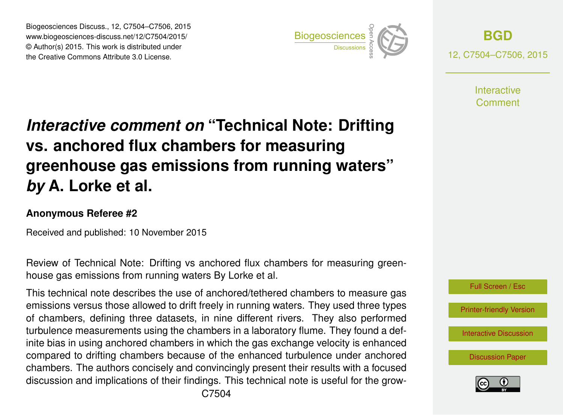Biogeosciences Discuss., 12, C7504–C7506, 2015 www.biogeosciences-discuss.net/12/C7504/2015/ © Author(s) 2015. This work is distributed under Biogeosciences Discuss., 12, C7504–C7506, 2015<br>www.biogeosciences-discuss.net/12/C7504/2015/<br>© Author(s) 2015. This work is distributed under<br>the Creative Commons Attribute 3.0 License.



**[BGD](http://www.biogeosciences-discuss.net)** 12, C7504–C7506, 2015

> **Interactive** Comment

## *Interactive comment on* **"Technical Note: Drifting vs. anchored flux chambers for measuring greenhouse gas emissions from running waters"** *by* **A. Lorke et al.**

## **Anonymous Referee #2**

Received and published: 10 November 2015

Review of Technical Note: Drifting vs anchored flux chambers for measuring greenhouse gas emissions from running waters By Lorke et al.

This technical note describes the use of anchored/tethered chambers to measure gas emissions versus those allowed to drift freely in running waters. They used three types of chambers, defining three datasets, in nine different rivers. They also performed turbulence measurements using the chambers in a laboratory flume. They found a definite bias in using anchored chambers in which the gas exchange velocity is enhanced compared to drifting chambers because of the enhanced turbulence under anchored chambers. The authors concisely and convincingly present their results with a focused discussion and implications of their findings. This technical note is useful for the grow-



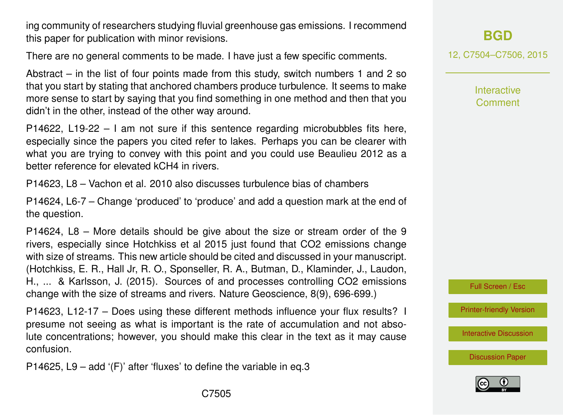ing community of researchers studying fluvial greenhouse gas emissions. I recommend this paper for publication with minor revisions.

There are no general comments to be made. I have just a few specific comments.

Abstract – in the list of four points made from this study, switch numbers 1 and 2 so that you start by stating that anchored chambers produce turbulence. It seems to make more sense to start by saying that you find something in one method and then that you didn't in the other, instead of the other way around.

P14622, L19-22 – I am not sure if this sentence regarding microbubbles fits here, especially since the papers you cited refer to lakes. Perhaps you can be clearer with what you are trying to convey with this point and you could use Beaulieu 2012 as a better reference for elevated kCH4 in rivers.

P14623, L8 – Vachon et al. 2010 also discusses turbulence bias of chambers

P14624, L6-7 – Change 'produced' to 'produce' and add a question mark at the end of the question.

P14624, L8 – More details should be give about the size or stream order of the 9 rivers, especially since Hotchkiss et al 2015 just found that CO2 emissions change with size of streams. This new article should be cited and discussed in your manuscript. (Hotchkiss, E. R., Hall Jr, R. O., Sponseller, R. A., Butman, D., Klaminder, J., Laudon, H., ... & Karlsson, J. (2015). Sources of and processes controlling CO2 emissions change with the size of streams and rivers. Nature Geoscience, 8(9), 696-699.)

P14623, L12-17 – Does using these different methods influence your flux results? I presume not seeing as what is important is the rate of accumulation and not absolute concentrations; however, you should make this clear in the text as it may cause confusion.

P14625, L9 – add '(F)' after 'fluxes' to define the variable in eq.3

**[BGD](http://www.biogeosciences-discuss.net)**

12, C7504–C7506, 2015

**Interactive Comment** 



[Printer-friendly Version](http://www.biogeosciences-discuss.net/12/C7504/2015/bgd-12-C7504-2015-print.pdf)

[Interactive Discussion](http://www.biogeosciences-discuss.net/12/14619/2015/bgd-12-14619-2015-discussion.html)

[Discussion Paper](http://www.biogeosciences-discuss.net/12/14619/2015/bgd-12-14619-2015.pdf)